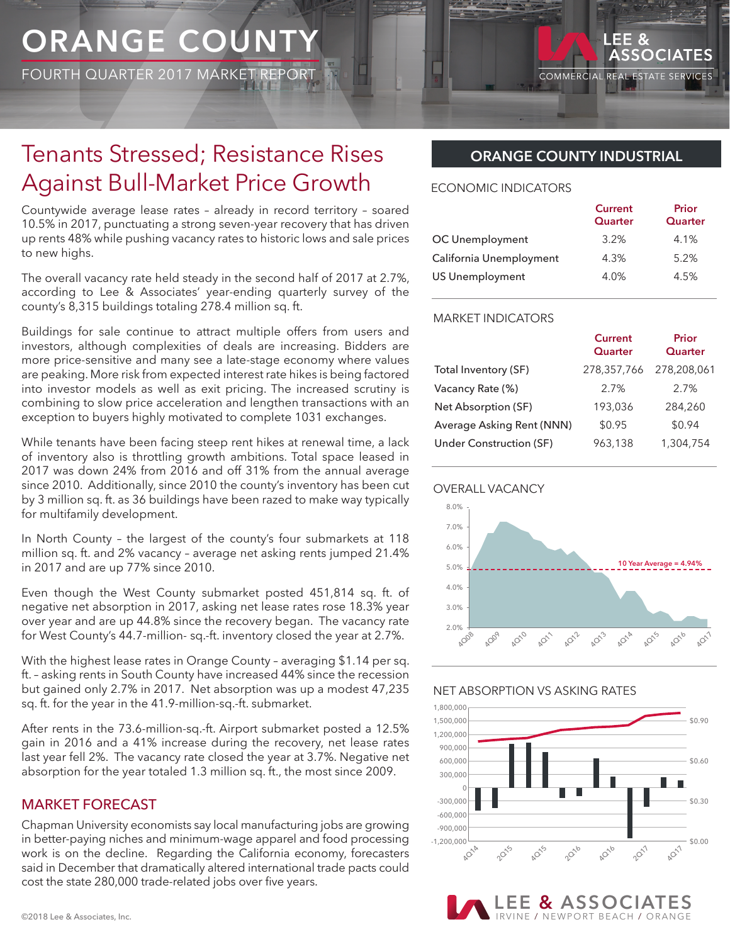# **ORANGE COUNTY**

FOURTH QUARTER 2017 MARKET REPORT

# Tenants Stressed; Resistance Rises Against Bull-Market Price Growth

Countywide average lease rates – already in record territory – soared 10.5% in 2017, punctuating a strong seven-year recovery that has driven up rents 48% while pushing vacancy rates to historic lows and sale prices to new highs.

The overall vacancy rate held steady in the second half of 2017 at 2.7%, according to Lee & Associates' year-ending quarterly survey of the county's 8,315 buildings totaling 278.4 million sq. ft.

Buildings for sale continue to attract multiple offers from users and investors, although complexities of deals are increasing. Bidders are more price-sensitive and many see a late-stage economy where values are peaking. More risk from expected interest rate hikes is being factored into investor models as well as exit pricing. The increased scrutiny is combining to slow price acceleration and lengthen transactions with an exception to buyers highly motivated to complete 1031 exchanges.

While tenants have been facing steep rent hikes at renewal time, a lack of inventory also is throttling growth ambitions. Total space leased in 2017 was down 24% from 2016 and off 31% from the annual average since 2010. Additionally, since 2010 the county's inventory has been cut by 3 million sq. ft. as 36 buildings have been razed to make way typically for multifamily development.

In North County – the largest of the county's four submarkets at 118 million sq. ft. and 2% vacancy – average net asking rents jumped 21.4% in 2017 and are up 77% since 2010.

Even though the West County submarket posted 451,814 sq. ft. of negative net absorption in 2017, asking net lease rates rose 18.3% year over year and are up 44.8% since the recovery began. The vacancy rate for West County's 44.7-million- sq.-ft. inventory closed the year at 2.7%.

With the highest lease rates in Orange County – averaging \$1.14 per sq. ft. – asking rents in South County have increased 44% since the recession but gained only 2.7% in 2017. Net absorption was up a modest 47,235 sq. ft. for the year in the 41.9-million-sq.-ft. submarket.

After rents in the 73.6-million-sq.-ft. Airport submarket posted a 12.5% gain in 2016 and a 41% increase during the recovery, net lease rates last year fell 2%. The vacancy rate closed the year at 3.7%. Negative net absorption for the year totaled 1.3 million sq. ft., the most since 2009.

## MARKET FORECAST

Chapman University economists say local manufacturing jobs are growing in better-paying niches and minimum-wage apparel and food processing work is on the decline. Regarding the California economy, forecasters said in December that dramatically altered international trade pacts could cost the state 280,000 trade-related jobs over five years.

# **ORANGE COUNTY INDUSTRIAL**

**COMMERCIAL** 

LEE<sub>&</sub>

ASSOCIATES

**REAL ESTATE SERVICES** 

#### ECONOMIC INDICATORS

|                         | <b>Current</b><br>Quarter | Prior<br>Quarter |
|-------------------------|---------------------------|------------------|
| OC Unemployment         | 3.2%                      | 4.1%             |
| California Unemployment | 4.3%                      | 5.2%             |
| <b>US Unemployment</b>  | 4.0%                      | 4.5%             |

#### MARKET INDICATORS

|                           | <b>Current</b><br>Quarter | Prior<br>Quarter |
|---------------------------|---------------------------|------------------|
| Total Inventory (SF)      | 278,357,766               | 278,208,061      |
| Vacancy Rate (%)          | 2.7%                      | 2.7%             |
| Net Absorption (SF)       | 193,036                   | 284,260          |
| Average Asking Rent (NNN) | \$0.95                    | \$0.94           |
| Under Construction (SF)   | 963,138                   | 1,304,754        |





#### NET ABSORPTION VS ASKING RATES